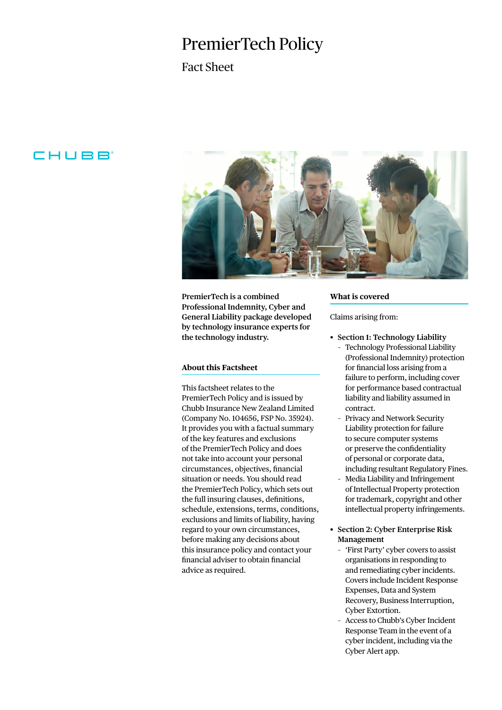# PremierTech Policy

### Fact Sheet

## CHUBB



**PremierTech is a combined Professional Indemnity, Cyber and General Liability package developed by technology insurance experts for the technology industry.**

#### **About this Factsheet**

This factsheet relates to the PremierTech Policy and is issued by Chubb Insurance New Zealand Limited (Company No. 104656, FSP No. 35924). It provides you with a factual summary of the key features and exclusions of the PremierTech Policy and does not take into account your personal circumstances, objectives, financial situation or needs. You should read the PremierTech Policy, which sets out the full insuring clauses, definitions, schedule, extensions, terms, conditions, exclusions and limits of liability, having regard to your own circumstances, before making any decisions about this insurance policy and contact your financial adviser to obtain financial advice as required.

#### **What is covered**

Claims arising from:

- **• Section 1: Technology Liability**
	- Technology Professional Liability (Professional Indemnity) protection for financial loss arising from a failure to perform, including cover for performance based contractual liability and liability assumed in contract.
	- Privacy and Network Security Liability protection for failure to secure computer systems or preserve the confidentiality of personal or corporate data, including resultant Regulatory Fines.
	- Media Liability and Infringement of Intellectual Property protection for trademark, copyright and other intellectual property infringements.
- **• Section 2: Cyber Enterprise Risk Management**
	- 'First Party' cyber covers to assist organisations in responding to and remediating cyber incidents. Covers include Incident Response Expenses, Data and System Recovery, Business Interruption, Cyber Extortion.
	- Access to Chubb's Cyber Incident Response Team in the event of a cyber incident, including via the Cyber Alert app.